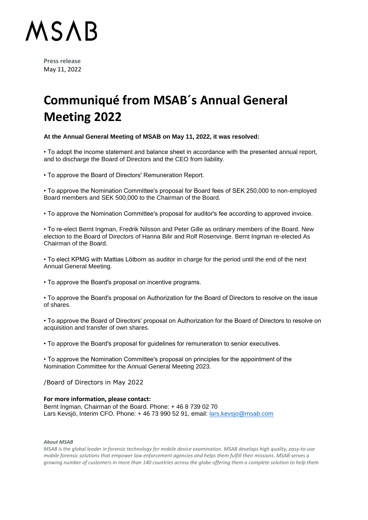

**Press release** May 11, 2022

## **Communiqué from MSAB´s Annual General Meeting 2022**

### **At the Annual General Meeting of MSAB on May 11, 2022, it was resolved:**

• To adopt the income statement and balance sheet in accordance with the presented annual report, and to discharge the Board of Directors and the CEO from liability.

• To approve the Board of Directors' Remuneration Report.

• To approve the Nomination Committee's proposal for Board fees of SEK 250,000 to non-employed Board members and SEK 500,000 to the Chairman of the Board.

• To approve the Nomination Committee's proposal for auditor's fee according to approved invoice.

• To re-elect Bernt Ingman, Fredrik Nilsson and Peter Gille as ordinary members of the Board. New election to the Board of Directors of Hanna Bilir and Rolf Rosenvinge. Bernt Ingman re-elected As Chairman of the Board.

• To elect KPMG with Mattias Lötborn as auditor in charge for the period until the end of the next Annual General Meeting.

• To approve the Board's proposal on incentive programs.

• To approve the Board's proposal on Authorization for the Board of Directors to resolve on the issue of shares.

• To approve the Board of Directors' proposal on Authorization for the Board of Directors to resolve on acquisition and transfer of own shares.

• To approve the Board's proposal for guidelines for remuneration to senior executives.

• To approve the Nomination Committee's proposal on principles for the appointment of the Nomination Committee for the Annual General Meeting 2023.

/Board of Directors in May 2022

#### **For more information, please contact:**

Bernt Ingman, Chairman of the Board. Phone: + 46 8 739 02 70 Lars Kevsjö, Interim CFO. Phone: + 46 73 990 52 91, email: [lars.kevsjo@msab.com](mailto:lars.kevsjo@msab.com)

#### *About MSAB*

*MSAB is the global leader in forensic technology for mobile device examination. MSAB develops high quality, easy-to-use mobile forensic solutions that empower law enforcement agencies and helps them fulfill their missions. MSAB serves a growing number of customers in more than 140 countries across the globe offering them a complete solution to help them*